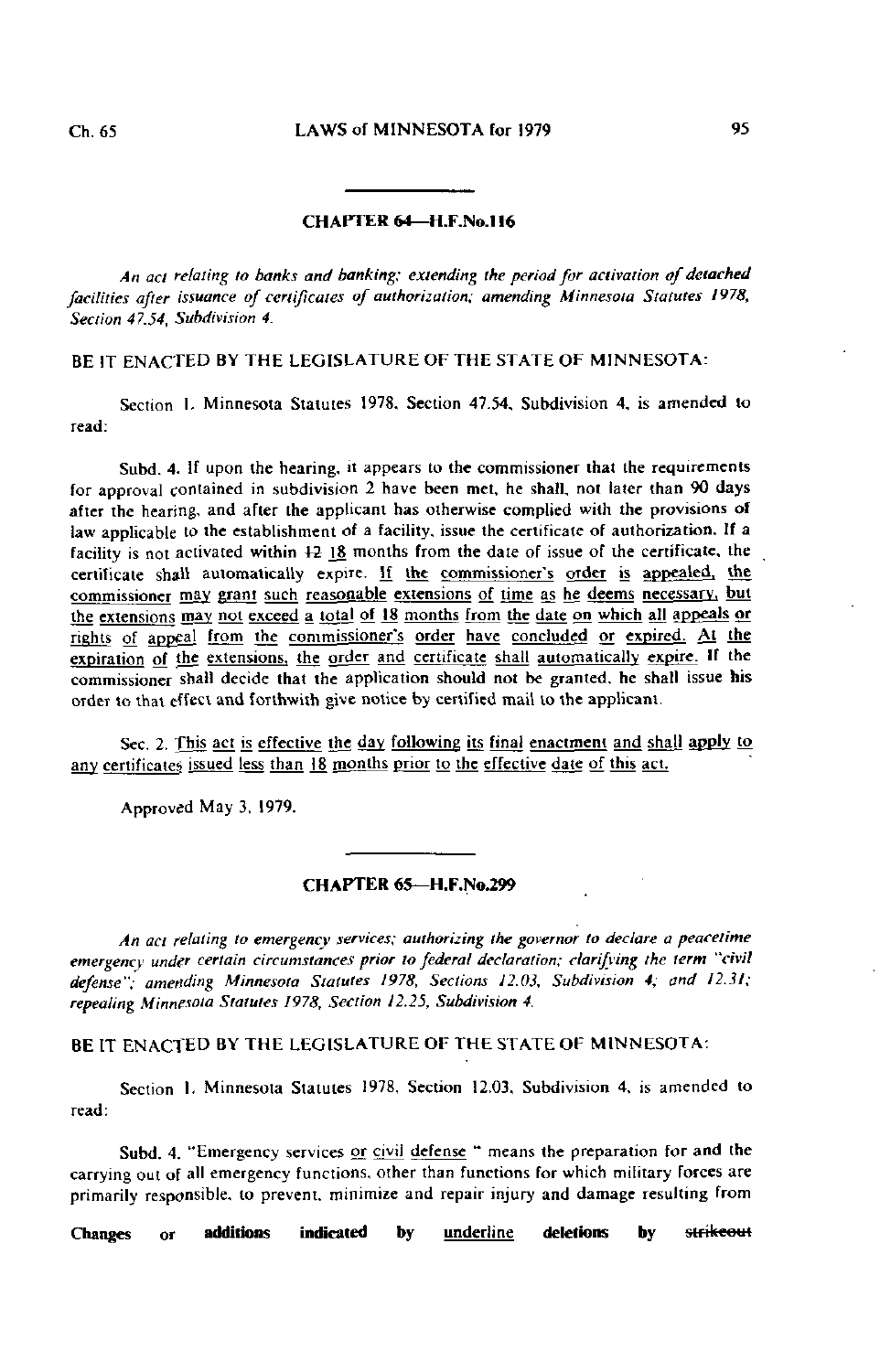## CHAPTER 64-H.F.No.116

An act relating to banks and banking; extending the period for activation of detached facilities after issuance of certificates of authorization; amending Minnesota Statutes 1978, Section 47.54, Subdivision 4.

BE IT ENACTED BY THE LEGISLATURE OF THE STATE OF MINNESOTA:

Section 1. Minnesota Statutes 1978, Section 47.54, Subdivision 4, is amended to read:

Subd. 4. If upon the hearing, it appears to the commissioner that the requirements for approval contained in subdivision 2 have been met, he shall, not later than 90 days after the hearing, and after the applicant has otherwise complied with the provisions of law applicable to the establishment of a facility, issue the certificate of authorization. If a facility is not activated within  $12 \frac{18}{15}$  months from the date of issue of the certificate, the certificate shall automatically expire. If the commissioner's order is appealed, the commissioner may grant such reasonable extensions of time as he deems necessary, but the extensions may not exceed a total of 18 months from the date on which all appeals or rights of appeal from the commissioner's order have concluded or expired. At the expiration of the extensions, the order and certificate shall automatically expire. If the commissioner shall decide that the application should not be granted, he shall issue his order lo thai effect and forthwith give notice by certified mail to the applicant.

Sec. 2. This act is effective the day following its final enactment and shall apply to any certificates issued less than J8 months prior to the effective date of this act.

Approved May 3, 1979.

## CHAPTER 65—H.F.No.299

An act relating to emergency services; authorizing the governor to declare a peacetime emergency under certain circumstances prior lo federal declaration; clarifying the term "civil defense"; amending Minnesota Statutes 1978, Sections 12.03, Subdivision 4; and 12.31; repealing Minnesota Statutes 1978, Section 12.25, Subdivision 4.

BE IT ENACTED BY THE LEGISLATURE OF THE STATE OF MINNESOTA:

Section 1. Minnesota Statutes 1978, Section 12.03, Subdivision 4, is amended to read:

Subd. 4. "Emergency services or civil defense " means the preparation for and the carrying out of all emergency functions, other than functions for which military forces are primarily responsible, to prevent, minimize and repair injury and damage resulting from

Changes or additions indicated by <u>underline</u> deletions by <del>strikeou</del>t